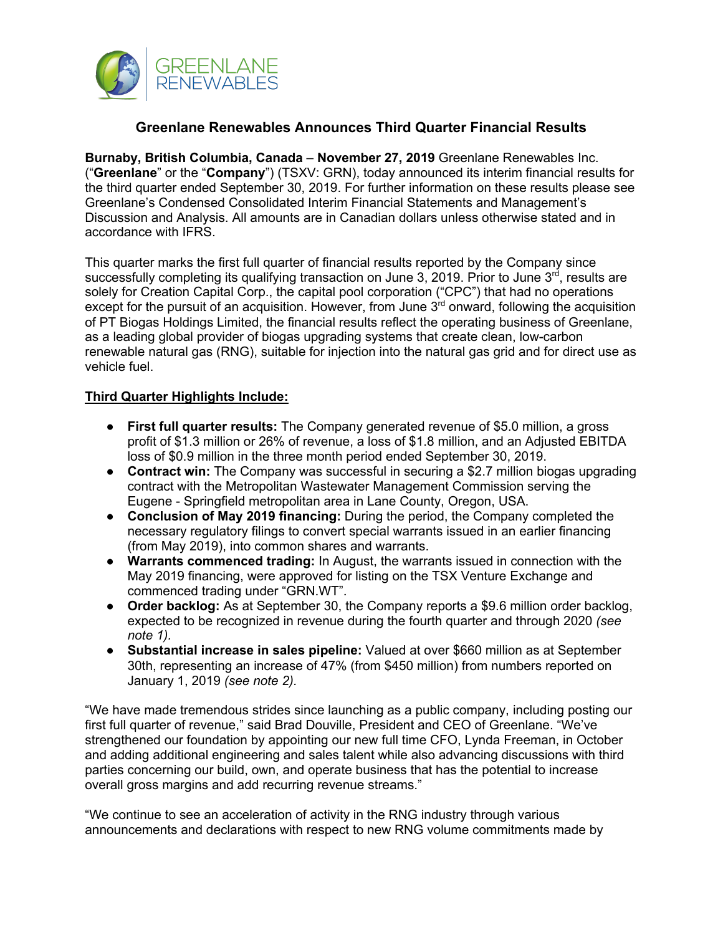

# **Greenlane Renewables Announces Third Quarter Financial Results**

**Burnaby, British Columbia, Canada** – **November 27, 2019** Greenlane Renewables Inc. ("**Greenlane**" or the "**Company**") (TSXV: GRN), today announced its interim financial results for the third quarter ended September 30, 2019. For further information on these results please see Greenlane's Condensed Consolidated Interim Financial Statements and Management's Discussion and Analysis. All amounts are in Canadian dollars unless otherwise stated and in accordance with IFRS.

This quarter marks the first full quarter of financial results reported by the Company since successfully completing its qualifying transaction on June 3, 2019. Prior to June 3<sup>rd</sup>, results are solely for Creation Capital Corp., the capital pool corporation ("CPC") that had no operations except for the pursuit of an acquisition. However, from June  $3<sup>rd</sup>$  onward, following the acquisition of PT Biogas Holdings Limited, the financial results reflect the operating business of Greenlane, as a leading global provider of biogas upgrading systems that create clean, low-carbon renewable natural gas (RNG), suitable for injection into the natural gas grid and for direct use as vehicle fuel.

# **Third Quarter Highlights Include:**

- **First full quarter results:** The Company generated revenue of \$5.0 million, a gross profit of \$1.3 million or 26% of revenue, a loss of \$1.8 million, and an Adjusted EBITDA loss of \$0.9 million in the three month period ended September 30, 2019.
- **Contract win:** The Company was successful in securing a \$2.7 million biogas upgrading contract with the Metropolitan Wastewater Management Commission serving the Eugene - Springfield metropolitan area in Lane County, Oregon, USA.
- **Conclusion of May 2019 financing:** During the period, the Company completed the necessary regulatory filings to convert special warrants issued in an earlier financing (from May 2019), into common shares and warrants.
- **Warrants commenced trading:** In August, the warrants issued in connection with the May 2019 financing, were approved for listing on the TSX Venture Exchange and commenced trading under "GRN.WT".
- **Order backlog:** As at September 30, the Company reports a \$9.6 million order backlog, expected to be recognized in revenue during the fourth quarter and through 2020 *(see note 1).*
- **Substantial increase in sales pipeline:** Valued at over \$660 million as at September 30th, representing an increase of 47% (from \$450 million) from numbers reported on January 1, 2019 *(see note 2).*

"We have made tremendous strides since launching as a public company, including posting our first full quarter of revenue," said Brad Douville, President and CEO of Greenlane. "We've strengthened our foundation by appointing our new full time CFO, Lynda Freeman, in October and adding additional engineering and sales talent while also advancing discussions with third parties concerning our build, own, and operate business that has the potential to increase overall gross margins and add recurring revenue streams."

"We continue to see an acceleration of activity in the RNG industry through various announcements and declarations with respect to new RNG volume commitments made by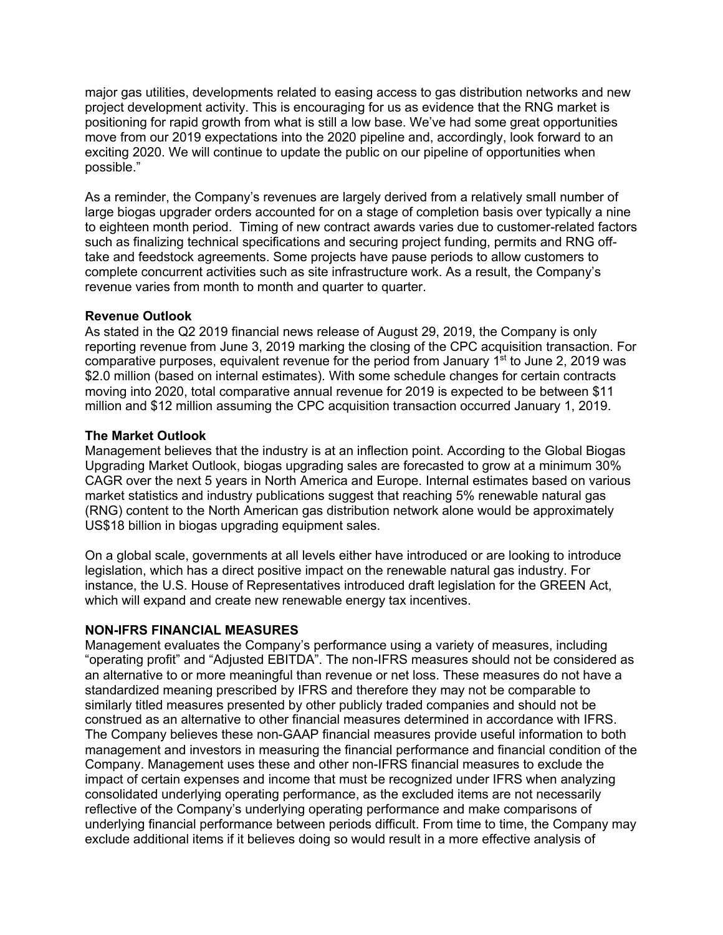major gas utilities, developments related to easing access to gas distribution networks and new project development activity. This is encouraging for us as evidence that the RNG market is positioning for rapid growth from what is still a low base. We've had some great opportunities move from our 2019 expectations into the 2020 pipeline and, accordingly, look forward to an exciting 2020. We will continue to update the public on our pipeline of opportunities when possible."

As a reminder, the Company's revenues are largely derived from a relatively small number of large biogas upgrader orders accounted for on a stage of completion basis over typically a nine to eighteen month period. Timing of new contract awards varies due to customer-related factors such as finalizing technical specifications and securing project funding, permits and RNG offtake and feedstock agreements. Some projects have pause periods to allow customers to complete concurrent activities such as site infrastructure work. As a result, the Company's revenue varies from month to month and quarter to quarter.

### **Revenue Outlook**

As stated in the Q2 2019 financial news release of August 29, 2019, the Company is only reporting revenue from June 3, 2019 marking the closing of the CPC acquisition transaction. For comparative purposes, equivalent revenue for the period from January  $1<sup>st</sup>$  to June 2, 2019 was \$2.0 million (based on internal estimates). With some schedule changes for certain contracts moving into 2020, total comparative annual revenue for 2019 is expected to be between \$11 million and \$12 million assuming the CPC acquisition transaction occurred January 1, 2019.

### **The Market Outlook**

Management believes that the industry is at an inflection point. According to the Global Biogas Upgrading Market Outlook, biogas upgrading sales are forecasted to grow at a minimum 30% CAGR over the next 5 years in North America and Europe. Internal estimates based on various market statistics and industry publications suggest that reaching 5% renewable natural gas (RNG) content to the North American gas distribution network alone would be approximately US\$18 billion in biogas upgrading equipment sales.

On a global scale, governments at all levels either have introduced or are looking to introduce legislation, which has a direct positive impact on the renewable natural gas industry. For instance, the U.S. House of Representatives introduced draft legislation for the GREEN Act, which will expand and create new renewable energy tax incentives.

# **NON-IFRS FINANCIAL MEASURES**

Management evaluates the Company's performance using a variety of measures, including "operating profit" and "Adjusted EBITDA". The non-IFRS measures should not be considered as an alternative to or more meaningful than revenue or net loss. These measures do not have a standardized meaning prescribed by IFRS and therefore they may not be comparable to similarly titled measures presented by other publicly traded companies and should not be construed as an alternative to other financial measures determined in accordance with IFRS. The Company believes these non-GAAP financial measures provide useful information to both management and investors in measuring the financial performance and financial condition of the Company. Management uses these and other non-IFRS financial measures to exclude the impact of certain expenses and income that must be recognized under IFRS when analyzing consolidated underlying operating performance, as the excluded items are not necessarily reflective of the Company's underlying operating performance and make comparisons of underlying financial performance between periods difficult. From time to time, the Company may exclude additional items if it believes doing so would result in a more effective analysis of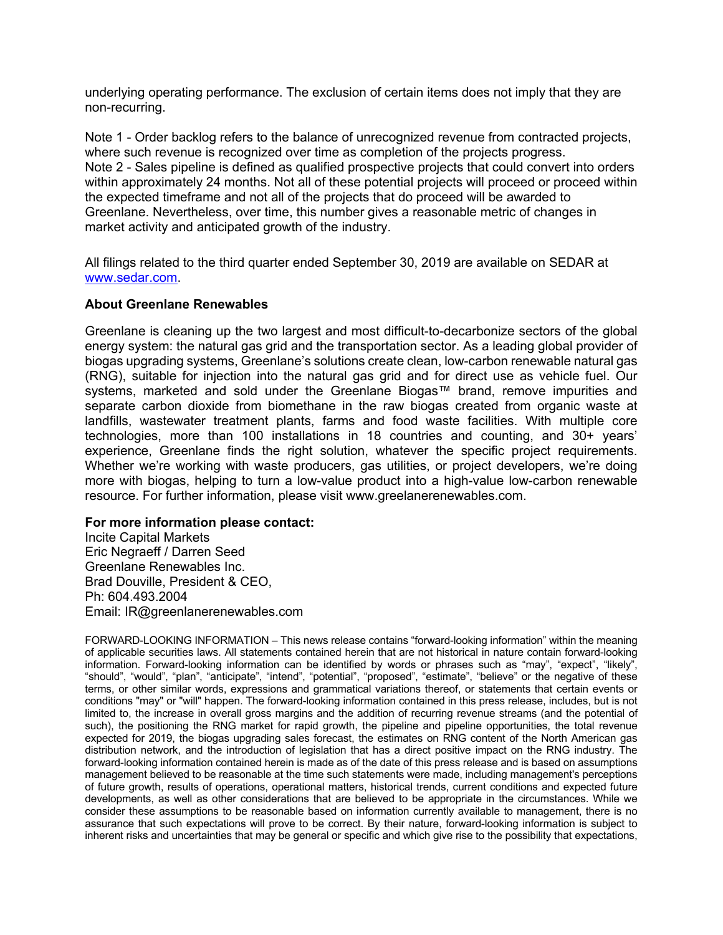underlying operating performance. The exclusion of certain items does not imply that they are non-recurring.

Note 1 - Order backlog refers to the balance of unrecognized revenue from contracted projects, where such revenue is recognized over time as completion of the projects progress. Note 2 - Sales pipeline is defined as qualified prospective projects that could convert into orders within approximately 24 months. Not all of these potential projects will proceed or proceed within the expected timeframe and not all of the projects that do proceed will be awarded to Greenlane. Nevertheless, over time, this number gives a reasonable metric of changes in market activity and anticipated growth of the industry.

All filings related to the third quarter ended September 30, 2019 are available on SEDAR at www.sedar.com.

#### **About Greenlane Renewables**

Greenlane is cleaning up the two largest and most difficult-to-decarbonize sectors of the global energy system: the natural gas grid and the transportation sector. As a leading global provider of biogas upgrading systems, Greenlane's solutions create clean, low-carbon renewable natural gas (RNG), suitable for injection into the natural gas grid and for direct use as vehicle fuel. Our systems, marketed and sold under the Greenlane Biogas™ brand, remove impurities and separate carbon dioxide from biomethane in the raw biogas created from organic waste at landfills, wastewater treatment plants, farms and food waste facilities. With multiple core technologies, more than 100 installations in 18 countries and counting, and 30+ years' experience, Greenlane finds the right solution, whatever the specific project requirements. Whether we're working with waste producers, gas utilities, or project developers, we're doing more with biogas, helping to turn a low-value product into a high-value low-carbon renewable resource. For further information, please visit www.greelanerenewables.com.

#### **For more information please contact:**

Incite Capital Markets Eric Negraeff / Darren Seed Greenlane Renewables Inc. Brad Douville, President & CEO, Ph: 604.493.2004 Email: IR@greenlanerenewables.com

FORWARD-LOOKING INFORMATION – This news release contains "forward-looking information" within the meaning of applicable securities laws. All statements contained herein that are not historical in nature contain forward-looking information. Forward-looking information can be identified by words or phrases such as "may", "expect", "likely", "should", "would", "plan", "anticipate", "intend", "potential", "proposed", "estimate", "believe" or the negative of these terms, or other similar words, expressions and grammatical variations thereof, or statements that certain events or conditions "may" or "will" happen. The forward-looking information contained in this press release, includes, but is not limited to, the increase in overall gross margins and the addition of recurring revenue streams (and the potential of such), the positioning the RNG market for rapid growth, the pipeline and pipeline opportunities, the total revenue expected for 2019, the biogas upgrading sales forecast, the estimates on RNG content of the North American gas distribution network, and the introduction of legislation that has a direct positive impact on the RNG industry. The forward-looking information contained herein is made as of the date of this press release and is based on assumptions management believed to be reasonable at the time such statements were made, including management's perceptions of future growth, results of operations, operational matters, historical trends, current conditions and expected future developments, as well as other considerations that are believed to be appropriate in the circumstances. While we consider these assumptions to be reasonable based on information currently available to management, there is no assurance that such expectations will prove to be correct. By their nature, forward-looking information is subject to inherent risks and uncertainties that may be general or specific and which give rise to the possibility that expectations,